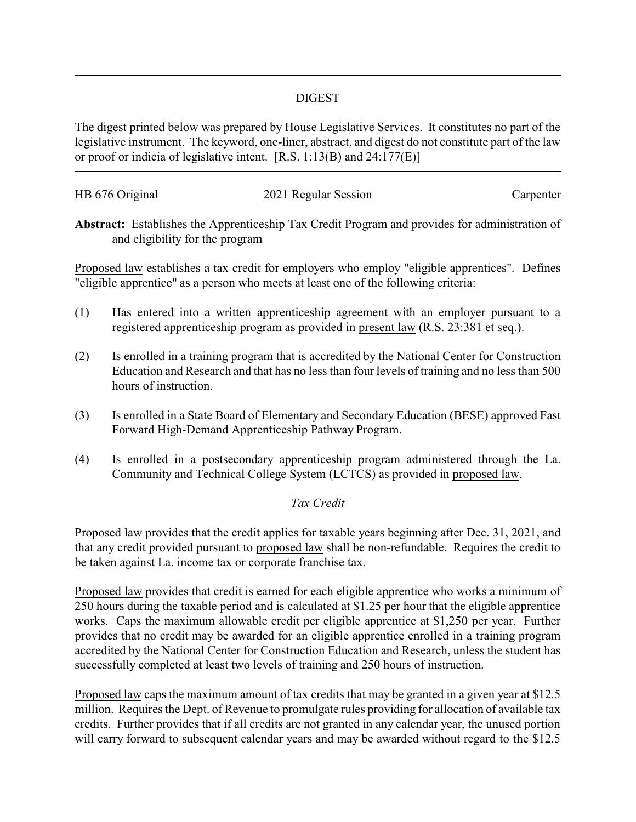## DIGEST

The digest printed below was prepared by House Legislative Services. It constitutes no part of the legislative instrument. The keyword, one-liner, abstract, and digest do not constitute part of the law or proof or indicia of legislative intent. [R.S. 1:13(B) and 24:177(E)]

| HB 676 Original | 2021 Regular Session | Carpenter |
|-----------------|----------------------|-----------|
|                 |                      |           |

**Abstract:** Establishes the Apprenticeship Tax Credit Program and provides for administration of and eligibility for the program

Proposed law establishes a tax credit for employers who employ "eligible apprentices". Defines "eligible apprentice" as a person who meets at least one of the following criteria:

- (1) Has entered into a written apprenticeship agreement with an employer pursuant to a registered apprenticeship program as provided in present law (R.S. 23:381 et seq.).
- (2) Is enrolled in a training program that is accredited by the National Center for Construction Education and Research and that has no less than four levels of training and no less than 500 hours of instruction.
- (3) Is enrolled in a State Board of Elementary and Secondary Education (BESE) approved Fast Forward High-Demand Apprenticeship Pathway Program.
- (4) Is enrolled in a postsecondary apprenticeship program administered through the La. Community and Technical College System (LCTCS) as provided in proposed law.

## *Tax Credit*

Proposed law provides that the credit applies for taxable years beginning after Dec. 31, 2021, and that any credit provided pursuant to proposed law shall be non-refundable. Requires the credit to be taken against La. income tax or corporate franchise tax.

Proposed law provides that credit is earned for each eligible apprentice who works a minimum of 250 hours during the taxable period and is calculated at \$1.25 per hour that the eligible apprentice works. Caps the maximum allowable credit per eligible apprentice at \$1,250 per year. Further provides that no credit may be awarded for an eligible apprentice enrolled in a training program accredited by the National Center for Construction Education and Research, unless the student has successfully completed at least two levels of training and 250 hours of instruction.

Proposed law caps the maximum amount of tax credits that may be granted in a given year at \$12.5 million. Requires the Dept. of Revenue to promulgate rules providing for allocation of available tax credits. Further provides that if all credits are not granted in any calendar year, the unused portion will carry forward to subsequent calendar years and may be awarded without regard to the \$12.5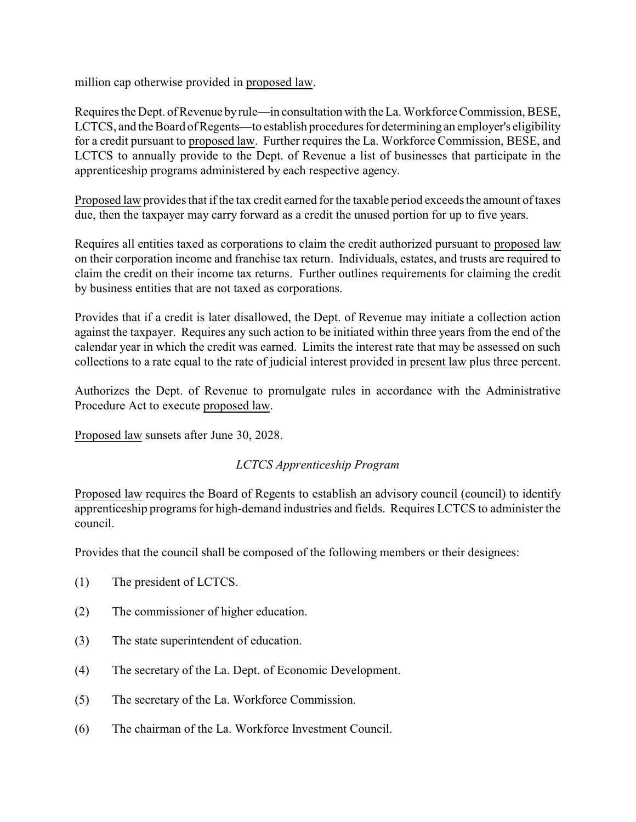million cap otherwise provided in proposed law.

Requires the Dept. of Revenue byrule—in consultation with the La. Workforce Commission, BESE, LCTCS, and the Board of Regents—to establish procedures for determining an employer's eligibility for a credit pursuant to proposed law. Further requires the La. Workforce Commission, BESE, and LCTCS to annually provide to the Dept. of Revenue a list of businesses that participate in the apprenticeship programs administered by each respective agency.

Proposed law provides that if the tax credit earned for the taxable period exceeds the amount of taxes due, then the taxpayer may carry forward as a credit the unused portion for up to five years.

Requires all entities taxed as corporations to claim the credit authorized pursuant to proposed law on their corporation income and franchise tax return. Individuals, estates, and trusts are required to claim the credit on their income tax returns. Further outlines requirements for claiming the credit by business entities that are not taxed as corporations.

Provides that if a credit is later disallowed, the Dept. of Revenue may initiate a collection action against the taxpayer. Requires any such action to be initiated within three years from the end of the calendar year in which the credit was earned. Limits the interest rate that may be assessed on such collections to a rate equal to the rate of judicial interest provided in present law plus three percent.

Authorizes the Dept. of Revenue to promulgate rules in accordance with the Administrative Procedure Act to execute proposed law.

Proposed law sunsets after June 30, 2028.

## *LCTCS Apprenticeship Program*

Proposed law requires the Board of Regents to establish an advisory council (council) to identify apprenticeship programs for high-demand industries and fields. Requires LCTCS to administer the council.

Provides that the council shall be composed of the following members or their designees:

- (1) The president of LCTCS.
- (2) The commissioner of higher education.
- (3) The state superintendent of education.
- (4) The secretary of the La. Dept. of Economic Development.
- (5) The secretary of the La. Workforce Commission.
- (6) The chairman of the La. Workforce Investment Council.